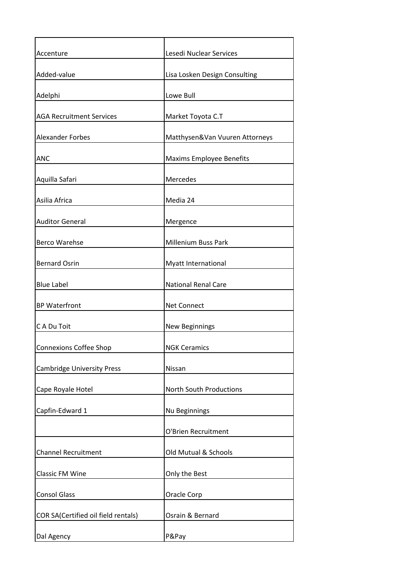| Accenture                           | Lesedi Nuclear Services         |
|-------------------------------------|---------------------------------|
| Added-value                         | Lisa Losken Design Consulting   |
| Adelphi                             | Lowe Bull                       |
| <b>AGA Recruitment Services</b>     | Market Toyota C.T               |
| <b>Alexander Forbes</b>             | Matthysen&Van Vuuren Attorneys  |
| <b>ANC</b>                          | <b>Maxims Employee Benefits</b> |
| Aquilla Safari                      | Mercedes                        |
| Asilia Africa                       | Media 24                        |
| <b>Auditor General</b>              | Mergence                        |
| <b>Berco Warehse</b>                | Millenium Buss Park             |
| <b>Bernard Osrin</b>                | Myatt International             |
| <b>Blue Label</b>                   | <b>National Renal Care</b>      |
| <b>BP Waterfront</b>                | <b>Net Connect</b>              |
| C A Du Toit                         | New Beginnings                  |
| <b>Connexions Coffee Shop</b>       | <b>NGK Ceramics</b>             |
| <b>Cambridge University Press</b>   | Nissan                          |
| Cape Royale Hotel                   | North South Productions         |
| Capfin-Edward 1                     | Nu Beginnings                   |
|                                     | O'Brien Recruitment             |
| <b>Channel Recruitment</b>          | Old Mutual & Schools            |
| <b>Classic FM Wine</b>              | Only the Best                   |
| <b>Consol Glass</b>                 | Oracle Corp                     |
| COR SA(Certified oil field rentals) | Osrain & Bernard                |
| Dal Agency                          | P&Pay                           |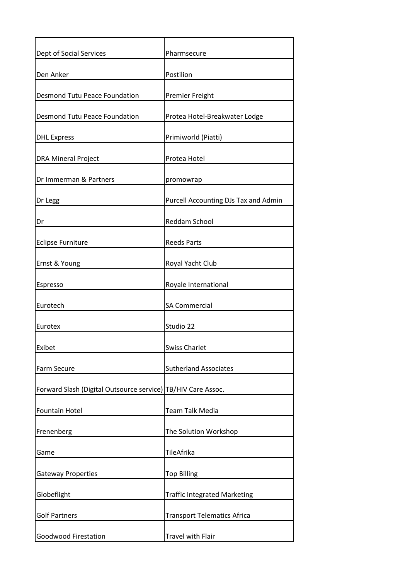| Dept of Social Services                                      | Pharmsecure                          |
|--------------------------------------------------------------|--------------------------------------|
| Den Anker                                                    | Postilion                            |
| <b>Desmond Tutu Peace Foundation</b>                         | Premier Freight                      |
| <b>Desmond Tutu Peace Foundation</b>                         | Protea Hotel-Breakwater Lodge        |
| <b>DHL Express</b>                                           | Primiworld (Piatti)                  |
| <b>DRA Mineral Project</b>                                   | Protea Hotel                         |
| Dr Immerman & Partners                                       | promowrap                            |
| Dr Legg                                                      | Purcell Accounting DJs Tax and Admin |
| Dr                                                           | <b>Reddam School</b>                 |
| <b>Eclipse Furniture</b>                                     | <b>Reeds Parts</b>                   |
| Ernst & Young                                                | Royal Yacht Club                     |
| Espresso                                                     | Royale International                 |
| Eurotech                                                     | <b>SA Commercial</b>                 |
| Eurotex                                                      | Studio 22                            |
| Exibet                                                       | <b>Swiss Charlet</b>                 |
| Farm Secure                                                  | <b>Sutherland Associates</b>         |
| Forward Slash (Digital Outsource service) TB/HIV Care Assoc. |                                      |
| <b>Fountain Hotel</b>                                        | <b>Team Talk Media</b>               |
| Frenenberg                                                   | The Solution Workshop                |
| Game                                                         | TileAfrika                           |
| <b>Gateway Properties</b>                                    | <b>Top Billing</b>                   |
| Globeflight                                                  | <b>Traffic Integrated Marketing</b>  |
| <b>Golf Partners</b>                                         | <b>Transport Telematics Africa</b>   |
| <b>Goodwood Firestation</b>                                  | <b>Travel with Flair</b>             |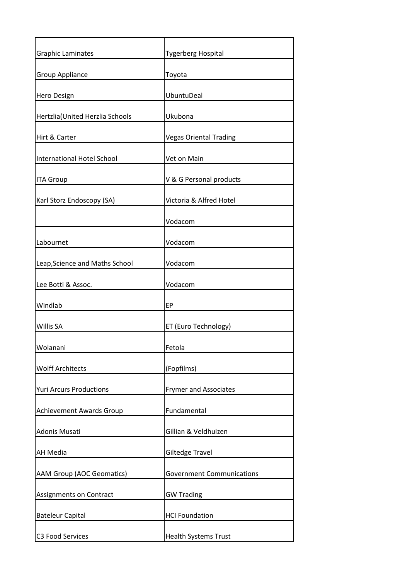| <b>Graphic Laminates</b>         | <b>Tygerberg Hospital</b>        |
|----------------------------------|----------------------------------|
| <b>Group Appliance</b>           | Toyota                           |
| Hero Design                      | <b>UbuntuDeal</b>                |
| Hertzlia (United Herzlia Schools | Ukubona                          |
| Hirt & Carter                    | <b>Vegas Oriental Trading</b>    |
| International Hotel School       | Vet on Main                      |
| <b>ITA Group</b>                 | V & G Personal products          |
| Karl Storz Endoscopy (SA)        | Victoria & Alfred Hotel          |
|                                  | Vodacom                          |
| Labournet                        | Vodacom                          |
| Leap, Science and Maths School   | Vodacom                          |
| Lee Botti & Assoc.               | Vodacom                          |
| Windlab                          | EP                               |
| Willis SA                        | ET (Euro Technology)             |
| Wolanani                         | Fetola                           |
| <b>Wolff Architects</b>          | (Fopfilms)                       |
| <b>Yuri Arcurs Productions</b>   | <b>Frymer and Associates</b>     |
| <b>Achievement Awards Group</b>  | Fundamental                      |
| Adonis Musati                    | Gillian & Veldhuizen             |
| <b>AH Media</b>                  | Giltedge Travel                  |
| <b>AAM Group (AOC Geomatics)</b> | <b>Government Communications</b> |
| Assignments on Contract          | <b>GW Trading</b>                |
| <b>Bateleur Capital</b>          | <b>HCI Foundation</b>            |
| C3 Food Services                 | <b>Health Systems Trust</b>      |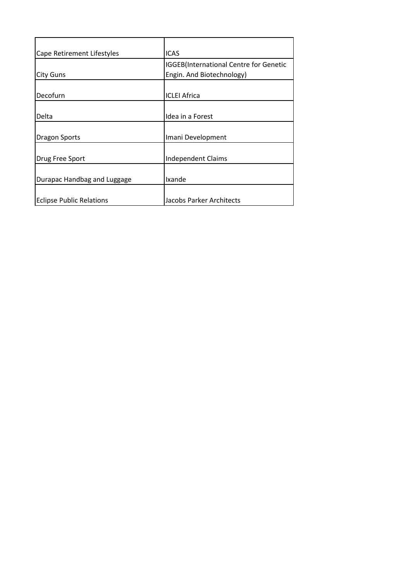| Cape Retirement Lifestyles      | <b>ICAS</b>                                    |
|---------------------------------|------------------------------------------------|
|                                 | <b>IGGEB</b> (International Centre for Genetic |
| <b>City Guns</b>                | Engin. And Biotechnology)                      |
|                                 |                                                |
| Decofurn                        | <b>ICLEI Africa</b>                            |
|                                 |                                                |
| Delta                           | Idea in a Forest                               |
|                                 |                                                |
| <b>Dragon Sports</b>            | Imani Development                              |
|                                 |                                                |
| Drug Free Sport                 | <b>Independent Claims</b>                      |
|                                 |                                                |
| Durapac Handbag and Luggage     | Ixande                                         |
|                                 |                                                |
| <b>Eclipse Public Relations</b> | Jacobs Parker Architects                       |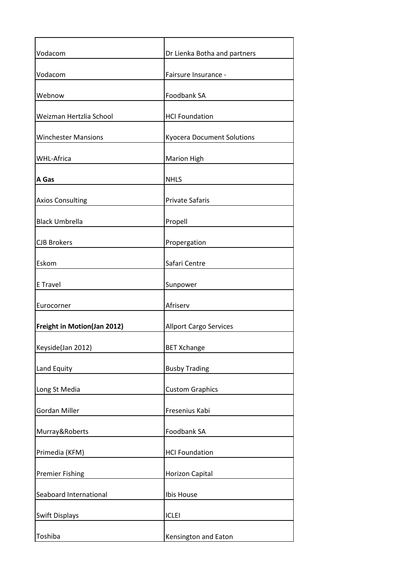| Vodacom                     | Dr Lienka Botha and partners      |
|-----------------------------|-----------------------------------|
| Vodacom                     | Fairsure Insurance -              |
| Webnow                      | Foodbank SA                       |
| Weizman Hertzlia School     | <b>HCI Foundation</b>             |
| <b>Winchester Mansions</b>  | <b>Kyocera Document Solutions</b> |
| <b>WHL-Africa</b>           | <b>Marion High</b>                |
| A Gas                       | <b>NHLS</b>                       |
| <b>Axios Consulting</b>     | <b>Private Safaris</b>            |
| <b>Black Umbrella</b>       | Propell                           |
| <b>CJB Brokers</b>          | Propergation                      |
| Eskom                       | Safari Centre                     |
| E Travel                    | Sunpower                          |
| Eurocorner                  | Afriserv                          |
| Freight in Motion(Jan 2012) | <b>Allport Cargo Services</b>     |
| Keyside(Jan 2012)           | <b>BET Xchange</b>                |
| Land Equity                 | <b>Busby Trading</b>              |
| Long St Media               | <b>Custom Graphics</b>            |
| Gordan Miller               | Fresenius Kabi                    |
| Murray&Roberts              | Foodbank SA                       |
| Primedia (KFM)              | <b>HCI Foundation</b>             |
| <b>Premier Fishing</b>      | <b>Horizon Capital</b>            |
| Seaboard International      | Ibis House                        |
| <b>Swift Displays</b>       | <b>ICLEI</b>                      |
| Toshiba                     | Kensington and Eaton              |
|                             |                                   |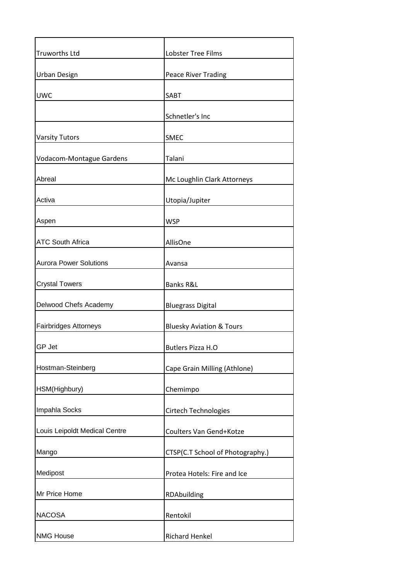| <b>Truworths Ltd</b>          | <b>Lobster Tree Films</b>           |
|-------------------------------|-------------------------------------|
| <b>Urban Design</b>           | Peace River Trading                 |
| <b>UWC</b>                    | <b>SABT</b>                         |
|                               | Schnetler's Inc                     |
| <b>Varsity Tutors</b>         | <b>SMEC</b>                         |
| Vodacom-Montague Gardens      | Talani                              |
| Abreal                        | Mc Loughlin Clark Attorneys         |
| Activa                        | Utopia/Jupiter                      |
| Aspen                         | <b>WSP</b>                          |
| <b>ATC South Africa</b>       | AllisOne                            |
| <b>Aurora Power Solutions</b> | Avansa                              |
| <b>Crystal Towers</b>         | Banks R&L                           |
| Delwood Chefs Academy         | <b>Bluegrass Digital</b>            |
| Fairbridges Attorneys         | <b>Bluesky Aviation &amp; Tours</b> |
| GP Jet                        | <b>Butlers Pizza H.O</b>            |
| Hostman-Steinberg             | Cape Grain Milling (Athlone)        |
| HSM(Highbury)                 | Chemimpo                            |
| Impahla Socks                 | Cirtech Technologies                |
| Louis Leipoldt Medical Centre | Coulters Van Gend+Kotze             |
| Mango                         | CTSP(C.T School of Photography.)    |
| Medipost                      | Protea Hotels: Fire and Ice         |
| Mr Price Home                 | RDAbuilding                         |
| <b>NACOSA</b>                 | Rentokil                            |
| <b>NMG House</b>              | <b>Richard Henkel</b>               |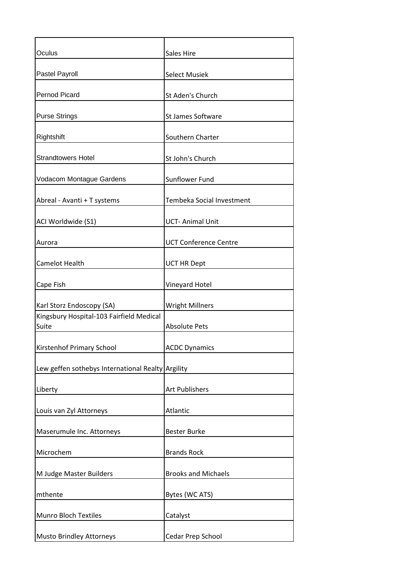| Oculus                                            | Sales Hire                   |
|---------------------------------------------------|------------------------------|
| Pastel Payroll                                    | <b>Select Musiek</b>         |
| Pernod Picard                                     | St Aden's Church             |
| <b>Purse Strings</b>                              | St James Software            |
| Rightshift                                        | Southern Charter             |
| <b>Strandtowers Hotel</b>                         | St John's Church             |
| Vodacom Montague Gardens                          | Sunflower Fund               |
| Abreal - Avanti + T systems                       | Tembeka Social Investment    |
| ACI Worldwide (S1)                                | <b>UCT-Animal Unit</b>       |
| Aurora                                            | <b>UCT Conference Centre</b> |
| Camelot Health                                    | <b>UCT HR Dept</b>           |
| Cape Fish                                         | Vineyard Hotel               |
| Karl Storz Endoscopy (SA)                         | <b>Wright Millners</b>       |
| Kingsbury Hospital-103 Fairfield Medical<br>Suite | <b>Absolute Pets</b>         |
| Kirstenhof Primary School                         | <b>ACDC Dynamics</b>         |
| Lew geffen sothebys International Realty Argility |                              |
| Liberty                                           | <b>Art Publishers</b>        |
| Louis van Zyl Attorneys                           | Atlantic                     |
| Maserumule Inc. Attorneys                         | <b>Bester Burke</b>          |
| Microchem                                         | <b>Brands Rock</b>           |
| M Judge Master Builders                           | <b>Brooks and Michaels</b>   |
| mthente                                           | Bytes (WC ATS)               |
| <b>Munro Bloch Textiles</b>                       | Catalyst                     |
| Musto Brindley Attorneys                          | Cedar Prep School            |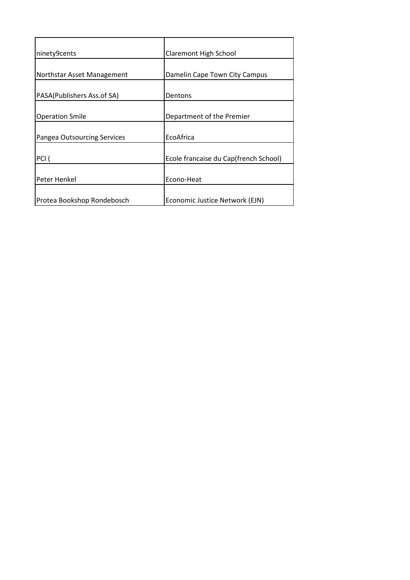| ninety9cents                       | Claremont High School                 |
|------------------------------------|---------------------------------------|
|                                    |                                       |
| Northstar Asset Management         | Damelin Cape Town City Campus         |
|                                    |                                       |
| PASA(Publishers Ass.of SA)         | Dentons                               |
|                                    |                                       |
| <b>Operation Smile</b>             | Department of the Premier             |
|                                    |                                       |
| <b>Pangea Outsourcing Services</b> | EcoAfrica                             |
|                                    |                                       |
| PCI (                              | Ecole francaise du Cap(french School) |
|                                    |                                       |
| Peter Henkel                       | Econo-Heat                            |
|                                    |                                       |
| Protea Bookshop Rondebosch         | Economic Justice Network (EJN)        |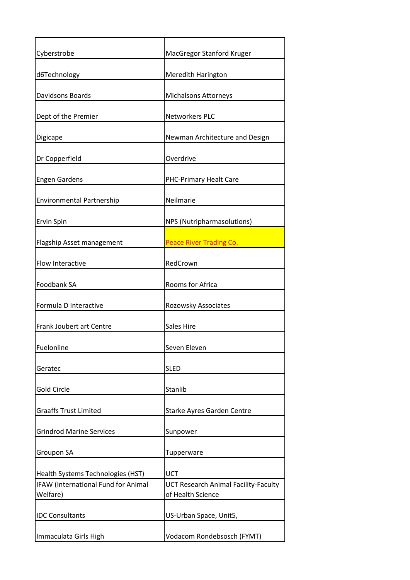| Cyberstrobe                                     | MacGregor Stanford Kruger                                 |
|-------------------------------------------------|-----------------------------------------------------------|
| d6Technology                                    | Meredith Harington                                        |
| Davidsons Boards                                | <b>Michalsons Attorneys</b>                               |
| Dept of the Premier                             | <b>Networkers PLC</b>                                     |
| Digicape                                        | Newman Architecture and Design                            |
| Dr Copperfield                                  | Overdrive                                                 |
| <b>Engen Gardens</b>                            | PHC-Primary Healt Care                                    |
| <b>Environmental Partnership</b>                | Neilmarie                                                 |
| Ervin Spin                                      | NPS (Nutripharmasolutions)                                |
| Flagship Asset management                       | <b>Peace River Trading Co.</b>                            |
| Flow Interactive                                | RedCrown                                                  |
| Foodbank SA                                     | Rooms for Africa                                          |
| Formula D Interactive                           | Rozowsky Associates                                       |
| Frank Joubert art Centre                        | Sales Hire                                                |
| Fuelonline                                      | Seven Eleven                                              |
| Geratec                                         | <b>SLED</b>                                               |
| <b>Gold Circle</b>                              | Stanlib                                                   |
| <b>Graaffs Trust Limited</b>                    | Starke Ayres Garden Centre                                |
| <b>Grindrod Marine Services</b>                 | Sunpower                                                  |
| Groupon SA                                      | Tupperware                                                |
| Health Systems Technologies (HST)               | <b>UCT</b>                                                |
| IFAW (International Fund for Animal<br>Welfare) | UCT Research Animal Facility-Faculty<br>of Health Science |
| <b>IDC Consultants</b>                          | US-Urban Space, Unit5,                                    |
| Immaculata Girls High                           | Vodacom Rondebsosch (FYMT)                                |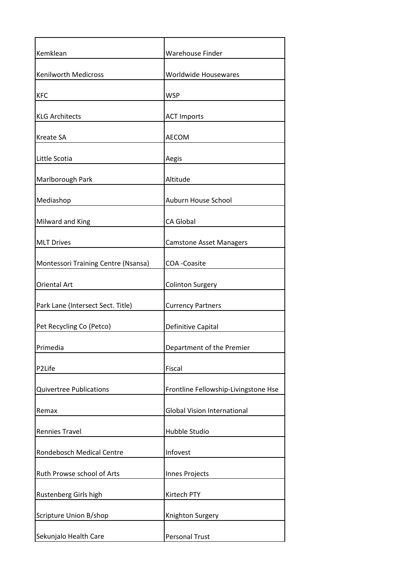| Kemklean                            | Warehouse Finder                     |
|-------------------------------------|--------------------------------------|
| <b>Kenilworth Medicross</b>         | Worldwide Housewares                 |
| <b>KFC</b>                          | <b>WSP</b>                           |
| <b>KLG Architects</b>               | <b>ACT Imports</b>                   |
| <b>Kreate SA</b>                    | <b>AECOM</b>                         |
| Little Scotia                       | Aegis                                |
| Marlborough Park                    | Altitude                             |
| Mediashop                           | Auburn House School                  |
| Milward and King                    | CA Global                            |
| <b>MLT Drives</b>                   | <b>Camstone Asset Managers</b>       |
| Montessori Training Centre (Nsansa) | <b>COA</b> - Coasite                 |
| <b>Oriental Art</b>                 | <b>Colinton Surgery</b>              |
| Park Lane (Intersect Sect. Title)   | <b>Currency Partners</b>             |
| Pet Recycling Co (Petco)            | Definitive Capital                   |
| Primedia                            | Department of the Premier            |
| P2Life                              | Fiscal                               |
| <b>Quivertree Publications</b>      | Frontline Fellowship-Livingstone Hse |
| Remax                               | <b>Global Vision International</b>   |
| <b>Rennies Travel</b>               | Hubble Studio                        |
| Rondebosch Medical Centre           | Infovest                             |
| Ruth Prowse school of Arts          | Innes Projects                       |
| Rustenberg Girls high               | Kirtech PTY                          |
| <b>Scripture Union B/shop</b>       | Knighton Surgery                     |
| Sekunjalo Health Care               | <b>Personal Trust</b>                |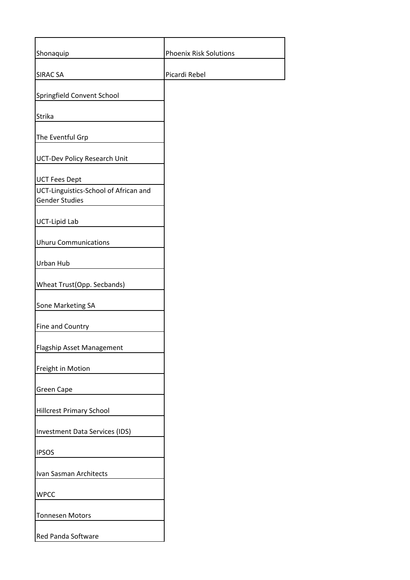| Shonaquip                                                                              | <b>Phoenix Risk Solutions</b> |
|----------------------------------------------------------------------------------------|-------------------------------|
| <b>SIRAC SA</b>                                                                        | Picardi Rebel                 |
| Springfield Convent School                                                             |                               |
| Strika                                                                                 |                               |
| The Eventful Grp                                                                       |                               |
| <b>UCT-Dev Policy Research Unit</b>                                                    |                               |
| <b>UCT Fees Dept</b><br>UCT-Linguistics-School of African and<br><b>Gender Studies</b> |                               |
| <b>UCT-Lipid Lab</b>                                                                   |                               |
| <b>Uhuru Communications</b>                                                            |                               |
| Urban Hub                                                                              |                               |
| Wheat Trust(Opp. Secbands)                                                             |                               |
| <b>5one Marketing SA</b>                                                               |                               |
| Fine and Country                                                                       |                               |
| Flagship Asset Management                                                              |                               |
| Freight in Motion                                                                      |                               |
| Green Cape                                                                             |                               |
| <b>Hillcrest Primary School</b>                                                        |                               |
| <b>Investment Data Services (IDS)</b>                                                  |                               |
| <b>IPSOS</b>                                                                           |                               |
| Ivan Sasman Architects                                                                 |                               |
| <b>WPCC</b>                                                                            |                               |
| <b>Tonnesen Motors</b>                                                                 |                               |
| <b>Red Panda Software</b>                                                              |                               |